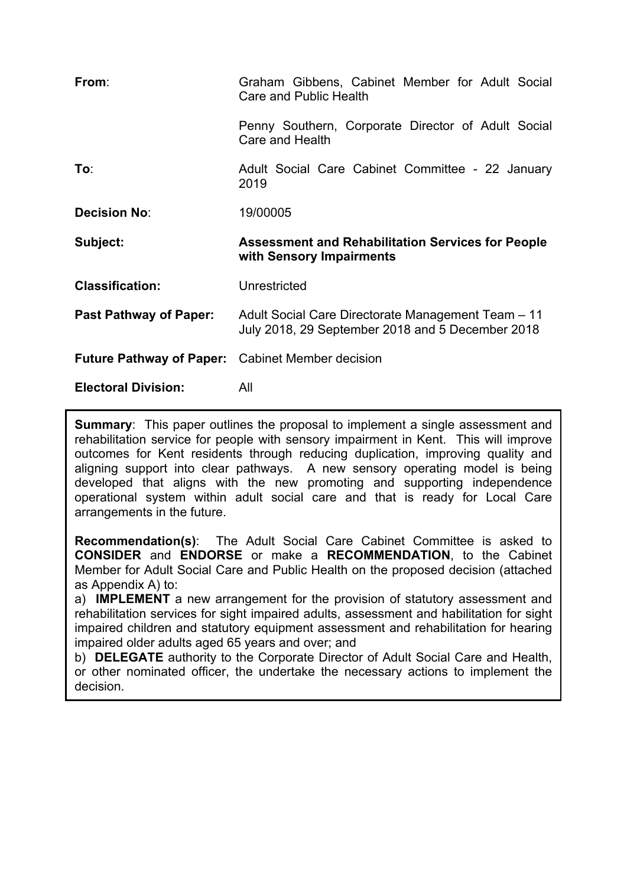| From:                                                   | Graham Gibbens, Cabinet Member for Adult Social<br>Care and Public Health                              |
|---------------------------------------------------------|--------------------------------------------------------------------------------------------------------|
|                                                         | Penny Southern, Corporate Director of Adult Social<br>Care and Health                                  |
| To:                                                     | Adult Social Care Cabinet Committee - 22 January<br>2019                                               |
| <b>Decision No:</b>                                     | 19/00005                                                                                               |
|                                                         |                                                                                                        |
| Subject:                                                | <b>Assessment and Rehabilitation Services for People</b><br>with Sensory Impairments                   |
| <b>Classification:</b>                                  | Unrestricted                                                                                           |
| <b>Past Pathway of Paper:</b>                           | Adult Social Care Directorate Management Team - 11<br>July 2018, 29 September 2018 and 5 December 2018 |
| <b>Future Pathway of Paper:</b> Cabinet Member decision |                                                                                                        |

**Summary:** This paper outlines the proposal to implement a single assessment and rehabilitation service for people with sensory impairment in Kent. This will improve outcomes for Kent residents through reducing duplication, improving quality and aligning support into clear pathways. A new sensory operating model is being developed that aligns with the new promoting and supporting independence operational system within adult social care and that is ready for Local Care arrangements in the future.

**Recommendation(s)**: The Adult Social Care Cabinet Committee is asked to **CONSIDER** and **ENDORSE** or make a **RECOMMENDATION**, to the Cabinet Member for Adult Social Care and Public Health on the proposed decision (attached as Appendix A) to:

a) **IMPLEMENT** a new arrangement for the provision of statutory assessment and rehabilitation services for sight impaired adults, assessment and habilitation for sight impaired children and statutory equipment assessment and rehabilitation for hearing impaired older adults aged 65 years and over; and

b) **DELEGATE** authority to the Corporate Director of Adult Social Care and Health, or other nominated officer, the undertake the necessary actions to implement the decision.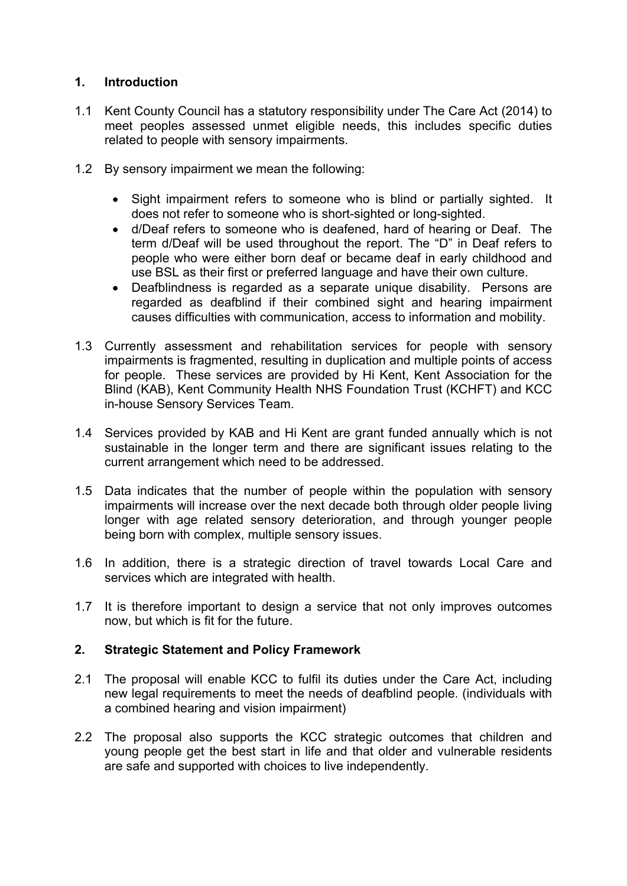# **1. Introduction**

- 1.1 Kent County Council has a statutory responsibility under The Care Act (2014) to meet peoples assessed unmet eligible needs, this includes specific duties related to people with sensory impairments.
- 1.2 By sensory impairment we mean the following:
	- Sight impairment refers to someone who is blind or partially sighted. It does not refer to someone who is short-sighted or long-sighted.
	- d/Deaf refers to someone who is deafened, hard of hearing or Deaf. The term d/Deaf will be used throughout the report. The "D" in Deaf refers to people who were either born deaf or became deaf in early childhood and use BSL as their first or preferred language and have their own culture.
	- Deafblindness is regarded as a separate unique disability. Persons are regarded as deafblind if their combined sight and hearing impairment causes difficulties with communication, access to information and mobility.
- 1.3 Currently assessment and rehabilitation services for people with sensory impairments is fragmented, resulting in duplication and multiple points of access for people. These services are provided by Hi Kent, Kent Association for the Blind (KAB), Kent Community Health NHS Foundation Trust (KCHFT) and KCC in-house Sensory Services Team.
- 1.4 Services provided by KAB and Hi Kent are grant funded annually which is not sustainable in the longer term and there are significant issues relating to the current arrangement which need to be addressed.
- 1.5 Data indicates that the number of people within the population with sensory impairments will increase over the next decade both through older people living longer with age related sensory deterioration, and through younger people being born with complex, multiple sensory issues.
- 1.6 In addition, there is a strategic direction of travel towards Local Care and services which are integrated with health.
- 1.7 It is therefore important to design a service that not only improves outcomes now, but which is fit for the future.

### **2. Strategic Statement and Policy Framework**

- 2.1 The proposal will enable KCC to fulfil its duties under the Care Act, including new legal requirements to meet the needs of deafblind people. (individuals with a combined hearing and vision impairment)
- 2.2 The proposal also supports the KCC strategic outcomes that children and young people get the best start in life and that older and vulnerable residents are safe and supported with choices to live independently.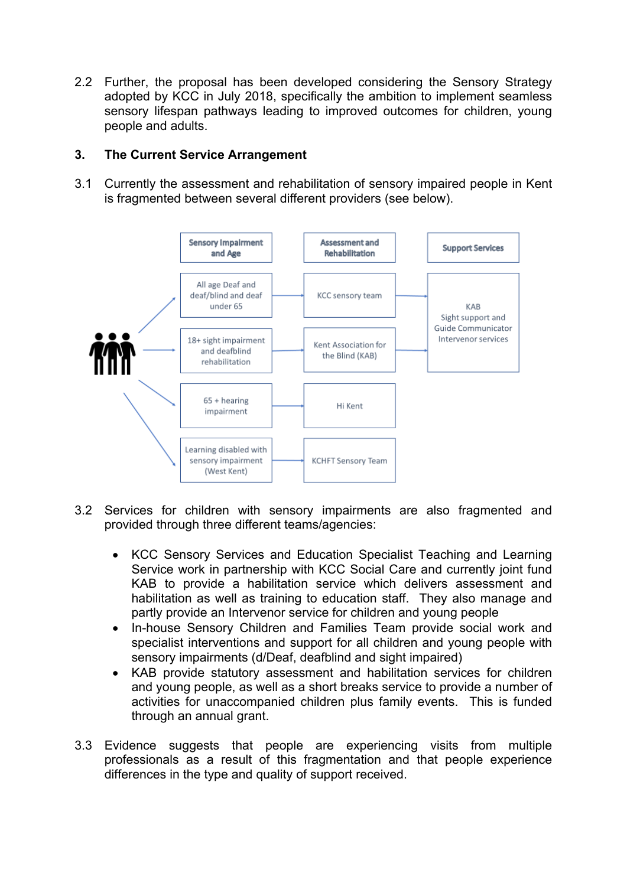2.2 Further, the proposal has been developed considering the Sensory Strategy adopted by KCC in July 2018, specifically the ambition to implement seamless sensory lifespan pathways leading to improved outcomes for children, young people and adults.

# **3. The Current Service Arrangement**

3.1 Currently the assessment and rehabilitation of sensory impaired people in Kent is fragmented between several different providers (see below).



- 3.2 Services for children with sensory impairments are also fragmented and provided through three different teams/agencies:
	- KCC Sensory Services and Education Specialist Teaching and Learning Service work in partnership with KCC Social Care and currently joint fund KAB to provide a habilitation service which delivers assessment and habilitation as well as training to education staff. They also manage and partly provide an Intervenor service for children and young people
	- In-house Sensory Children and Families Team provide social work and specialist interventions and support for all children and young people with sensory impairments (d/Deaf, deafblind and sight impaired)
	- KAB provide statutory assessment and habilitation services for children and young people, as well as a short breaks service to provide a number of activities for unaccompanied children plus family events. This is funded through an annual grant.
- 3.3 Evidence suggests that people are experiencing visits from multiple professionals as a result of this fragmentation and that people experience differences in the type and quality of support received.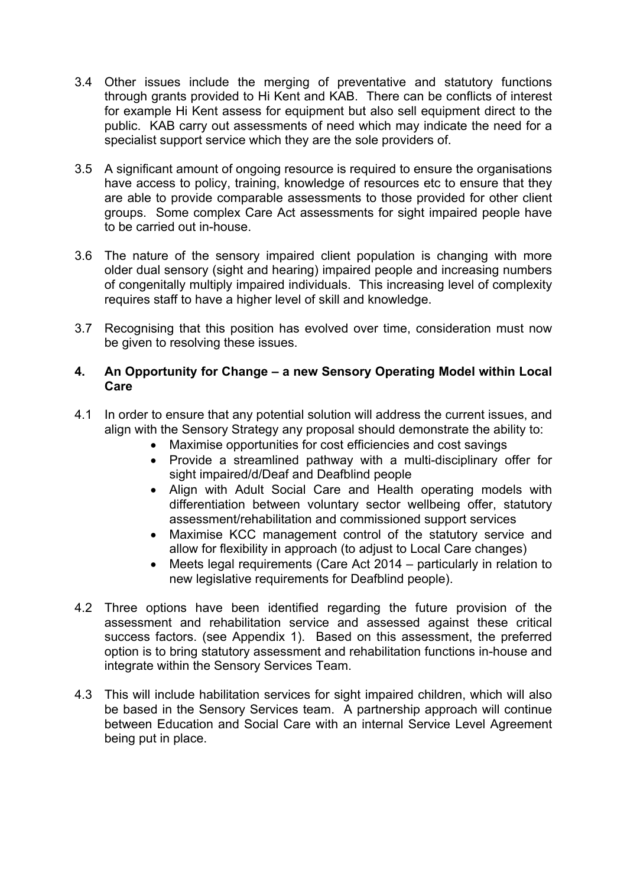- 3.4 Other issues include the merging of preventative and statutory functions through grants provided to Hi Kent and KAB. There can be conflicts of interest for example Hi Kent assess for equipment but also sell equipment direct to the public. KAB carry out assessments of need which may indicate the need for a specialist support service which they are the sole providers of.
- 3.5 A significant amount of ongoing resource is required to ensure the organisations have access to policy, training, knowledge of resources etc to ensure that they are able to provide comparable assessments to those provided for other client groups. Some complex Care Act assessments for sight impaired people have to be carried out in-house.
- 3.6 The nature of the sensory impaired client population is changing with more older dual sensory (sight and hearing) impaired people and increasing numbers of congenitally multiply impaired individuals. This increasing level of complexity requires staff to have a higher level of skill and knowledge.
- 3.7 Recognising that this position has evolved over time, consideration must now be given to resolving these issues.

# **4. An Opportunity for Change – a new Sensory Operating Model within Local Care**

- 4.1 In order to ensure that any potential solution will address the current issues, and align with the Sensory Strategy any proposal should demonstrate the ability to:
	- Maximise opportunities for cost efficiencies and cost savings
	- Provide a streamlined pathway with a multi-disciplinary offer for sight impaired/d/Deaf and Deafblind people
	- Align with Adult Social Care and Health operating models with differentiation between voluntary sector wellbeing offer, statutory assessment/rehabilitation and commissioned support services
	- Maximise KCC management control of the statutory service and allow for flexibility in approach (to adjust to Local Care changes)
	- Meets legal requirements (Care Act 2014 particularly in relation to new legislative requirements for Deafblind people).
- 4.2 Three options have been identified regarding the future provision of the assessment and rehabilitation service and assessed against these critical success factors. (see Appendix 1). Based on this assessment, the preferred option is to bring statutory assessment and rehabilitation functions in-house and integrate within the Sensory Services Team.
- 4.3 This will include habilitation services for sight impaired children, which will also be based in the Sensory Services team. A partnership approach will continue between Education and Social Care with an internal Service Level Agreement being put in place.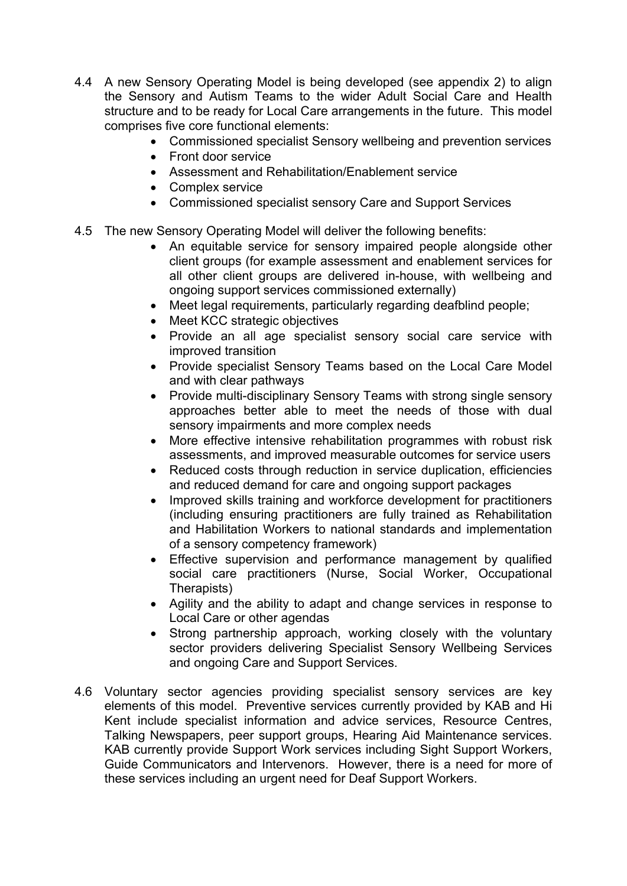- 4.4 A new Sensory Operating Model is being developed (see appendix 2) to align the Sensory and Autism Teams to the wider Adult Social Care and Health structure and to be ready for Local Care arrangements in the future. This model comprises five core functional elements:
	- Commissioned specialist Sensory wellbeing and prevention services
	- Front door service
	- Assessment and Rehabilitation/Enablement service
	- Complex service
	- Commissioned specialist sensory Care and Support Services
- 4.5 The new Sensory Operating Model will deliver the following benefits:
	- An equitable service for sensory impaired people alongside other client groups (for example assessment and enablement services for all other client groups are delivered in-house, with wellbeing and ongoing support services commissioned externally)
	- Meet legal requirements, particularly regarding deafblind people;
	- Meet KCC strategic objectives
	- Provide an all age specialist sensory social care service with improved transition
	- Provide specialist Sensory Teams based on the Local Care Model and with clear pathways
	- Provide multi-disciplinary Sensory Teams with strong single sensory approaches better able to meet the needs of those with dual sensory impairments and more complex needs
	- More effective intensive rehabilitation programmes with robust risk assessments, and improved measurable outcomes for service users
	- Reduced costs through reduction in service duplication, efficiencies and reduced demand for care and ongoing support packages
	- Improved skills training and workforce development for practitioners (including ensuring practitioners are fully trained as Rehabilitation and Habilitation Workers to national standards and implementation of a sensory competency framework)
	- Effective supervision and performance management by qualified social care practitioners (Nurse, Social Worker, Occupational Therapists)
	- Agility and the ability to adapt and change services in response to Local Care or other agendas
	- Strong partnership approach, working closely with the voluntary sector providers delivering Specialist Sensory Wellbeing Services and ongoing Care and Support Services.
- 4.6 Voluntary sector agencies providing specialist sensory services are key elements of this model. Preventive services currently provided by KAB and Hi Kent include specialist information and advice services, Resource Centres, Talking Newspapers, peer support groups, Hearing Aid Maintenance services. KAB currently provide Support Work services including Sight Support Workers, Guide Communicators and Intervenors. However, there is a need for more of these services including an urgent need for Deaf Support Workers.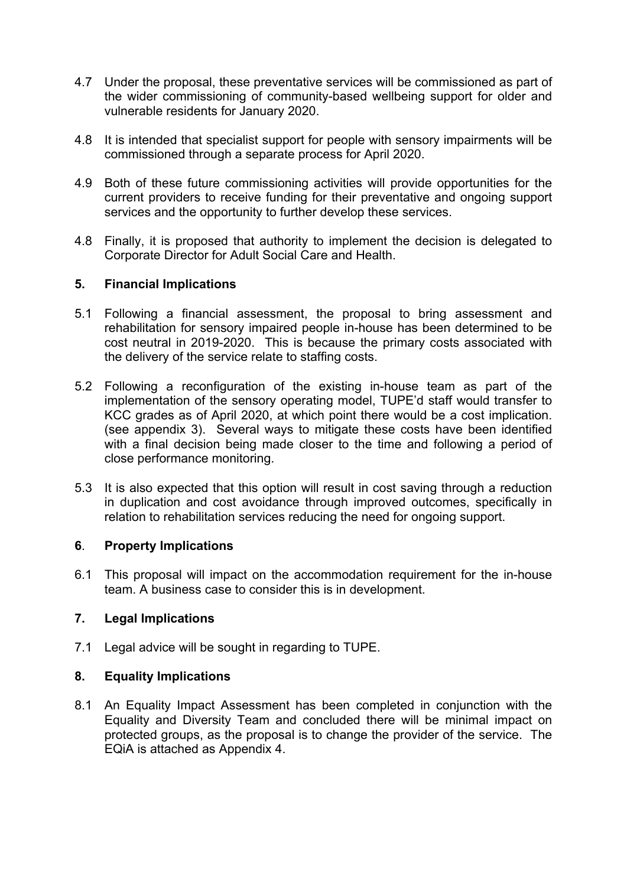- 4.7 Under the proposal, these preventative services will be commissioned as part of the wider commissioning of community-based wellbeing support for older and vulnerable residents for January 2020.
- 4.8 It is intended that specialist support for people with sensory impairments will be commissioned through a separate process for April 2020.
- 4.9 Both of these future commissioning activities will provide opportunities for the current providers to receive funding for their preventative and ongoing support services and the opportunity to further develop these services.
- 4.8 Finally, it is proposed that authority to implement the decision is delegated to Corporate Director for Adult Social Care and Health.

# **5. Financial Implications**

- 5.1 Following a financial assessment, the proposal to bring assessment and rehabilitation for sensory impaired people in-house has been determined to be cost neutral in 2019-2020. This is because the primary costs associated with the delivery of the service relate to staffing costs.
- 5.2 Following a reconfiguration of the existing in-house team as part of the implementation of the sensory operating model, TUPE'd staff would transfer to KCC grades as of April 2020, at which point there would be a cost implication. (see appendix 3). Several ways to mitigate these costs have been identified with a final decision being made closer to the time and following a period of close performance monitoring.
- 5.3 It is also expected that this option will result in cost saving through a reduction in duplication and cost avoidance through improved outcomes, specifically in relation to rehabilitation services reducing the need for ongoing support.

# **6**. **Property Implications**

6.1 This proposal will impact on the accommodation requirement for the in-house team. A business case to consider this is in development.

# **7. Legal Implications**

7.1 Legal advice will be sought in regarding to TUPE.

### **8. Equality Implications**

8.1 An Equality Impact Assessment has been completed in conjunction with the Equality and Diversity Team and concluded there will be minimal impact on protected groups, as the proposal is to change the provider of the service. The EQiA is attached as Appendix 4.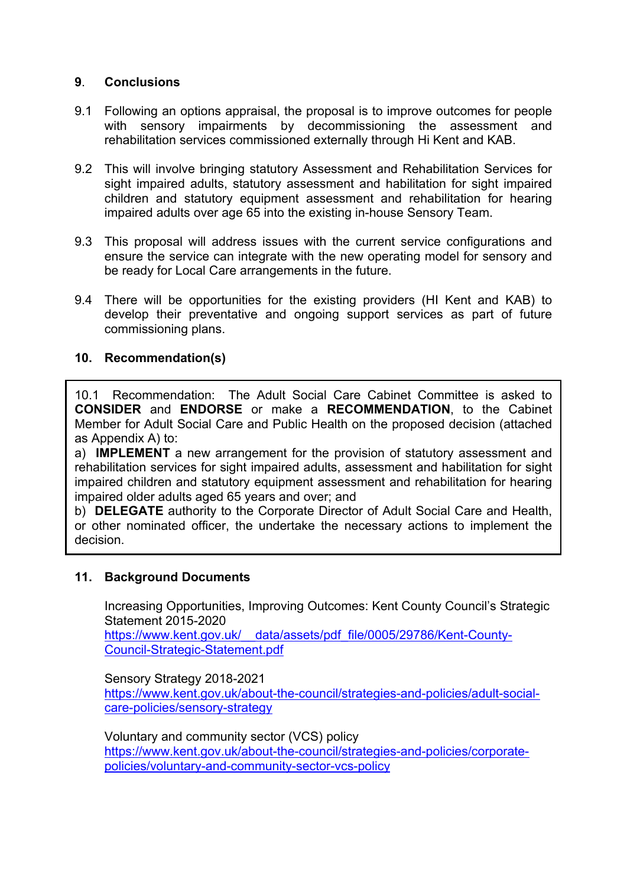# **9**. **Conclusions**

- 9.1 Following an options appraisal, the proposal is to improve outcomes for people with sensory impairments by decommissioning the assessment and rehabilitation services commissioned externally through Hi Kent and KAB.
- 9.2 This will involve bringing statutory Assessment and Rehabilitation Services for sight impaired adults, statutory assessment and habilitation for sight impaired children and statutory equipment assessment and rehabilitation for hearing impaired adults over age 65 into the existing in-house Sensory Team.
- 9.3 This proposal will address issues with the current service configurations and ensure the service can integrate with the new operating model for sensory and be ready for Local Care arrangements in the future.
- 9.4 There will be opportunities for the existing providers (HI Kent and KAB) to develop their preventative and ongoing support services as part of future commissioning plans.

### **10. Recommendation(s)**

10.1 Recommendation: The Adult Social Care Cabinet Committee is asked to **CONSIDER** and **ENDORSE** or make a **RECOMMENDATION**, to the Cabinet Member for Adult Social Care and Public Health on the proposed decision (attached as Appendix A) to:

a) **IMPLEMENT** a new arrangement for the provision of statutory assessment and rehabilitation services for sight impaired adults, assessment and habilitation for sight impaired children and statutory equipment assessment and rehabilitation for hearing impaired older adults aged 65 years and over; and

b) **DELEGATE** authority to the Corporate Director of Adult Social Care and Health, or other nominated officer, the undertake the necessary actions to implement the decision.

### **11. Background Documents**

Increasing Opportunities, Improving Outcomes: Kent County Council's Strategic Statement 2015-2020

https://www.kent.gov.uk/ data/assets/pdf\_file/0005/29786/Kent-County-[Council-Strategic-Statement.pdf](https://www.kent.gov.uk/__data/assets/pdf_file/0005/29786/Kent-County-Council-Strategic-Statement.pdf)

Sensory Strategy 2018-2021 [https://www.kent.gov.uk/about-the-council/strategies-and-policies/adult-social](https://www.kent.gov.uk/about-the-council/strategies-and-policies/adult-social-care-policies/sensory-strategy)[care-policies/sensory-strategy](https://www.kent.gov.uk/about-the-council/strategies-and-policies/adult-social-care-policies/sensory-strategy)

Voluntary and community sector (VCS) policy [https://www.kent.gov.uk/about-the-council/strategies-and-policies/corporate](https://www.kent.gov.uk/about-the-council/strategies-and-policies/corporate-policies/voluntary-and-community-sector-vcs-policy)[policies/voluntary-and-community-sector-vcs-policy](https://www.kent.gov.uk/about-the-council/strategies-and-policies/corporate-policies/voluntary-and-community-sector-vcs-policy)